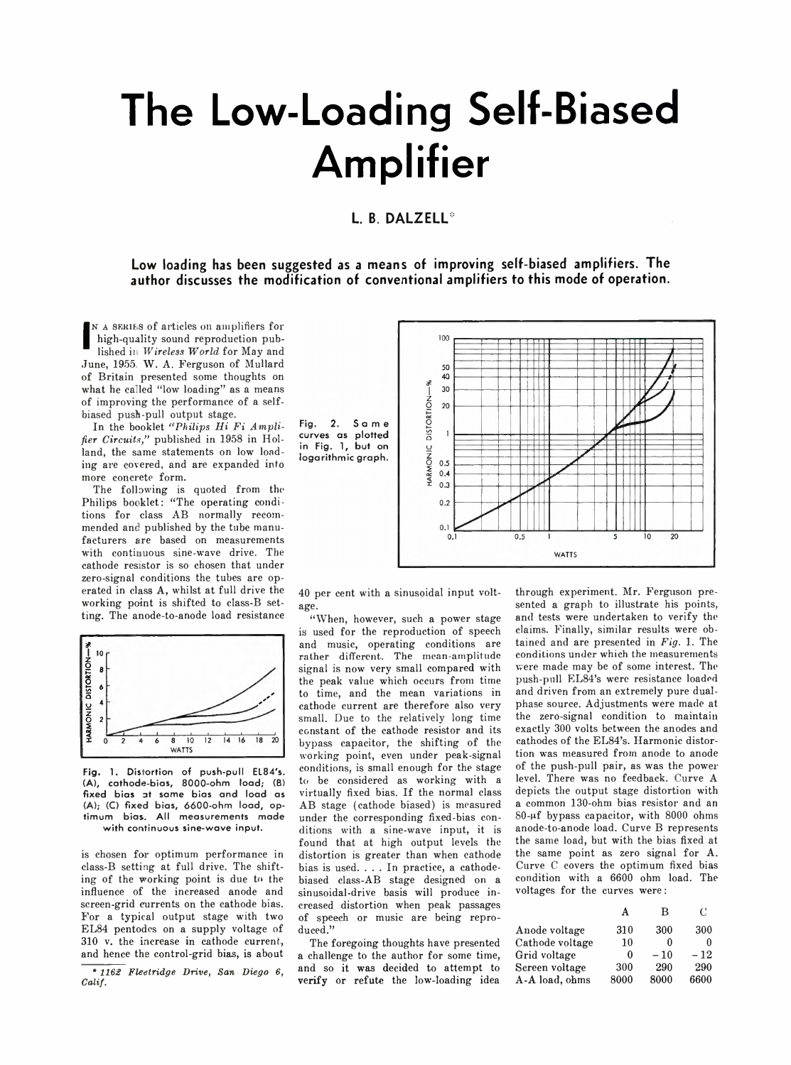# **The Low-Loading Self-Biased Amplifier**

# L. B. DALZELL<sup>\*</sup>

**Low loading has been suggested as a means of improving self-biased amplifiers. The author discusses the modification of conventional amplifiers to this mode of operation.**

IN A SERIES of articles on amplifiers for<br>
high-quality sound reproduction pub-<br>
lished in *Wireless World* for May and<br>
June, 1955. W. A. Ferguson of Mullard N A SERIES of articles on amplifiers for high-quality sound reproduction published in *W ireless W orld* for May and of Britain presented some thoughts on what he called "low loading" as a means of improving the performance of a selfbiased push-pull output stage.

In the booklet "Philips Hi Fi Ampli*fier Circuits,"* published in 1958 in Holland, the same statements on low loading are covered, and are expanded into more concrete form.

The following is quoted from the Philips booklet: "The operating conditions for class AB normally recommended and published by the tube manufacturers are based on measurements with continuous sine-wave drive. The cathode resistor is so chosen that under zero-signal conditions the tubes are operated in class A, whilst at full drive the working point is shifted to class-B setting. The anode-to-anode load resistance



**Fig. 1. Distortion of push-pull EL84's. (A), cathode-bias, 8000-ohm load; (B) fixed bias at same bias and load as (A); (C) fixed bias, 6600-ohm load, optimum bias. All measurements made with continuous sine-wave input.**

is chosen for optimum performance in class-B setting at full drive. The shifting of the working point is due to the influence of the increased anode and screen-grid currents on the cathode bias. For a typical output stage with two EL84 pentodes on a supply voltage of 310 v. the increase in cathode current, and hence the control-grid bias, is about

\* *1162 Fleetridge Drive, San Diego 6, Calif.*





40 per cent with a sinusoidal input voltage.

"When, however, such a power stage is used for the reproduction of speech and music, operating conditions are rather different. The mean-amplitude signal is now very small compared with the peak value which occurs from time to time, and the mean variations in cathode current are therefore also very small. Due to the relatively long time constant of the cathode resistor and its bypass capacitor, the shifting of the working point, even under peak-signal conditions, is small enough for the stage to be considered as working with a virtually fixed bias. If the normal class AB stage (cathode biased) is measured under the corresponding fixed-bias conditions with a sine-wave input, it is found that at high output levels the distortion is greater than when cathode bias is used. . . . In practice, a cathodebiased class-AB stage designed on a sinusoidal-drive basis will produce increased distortion when peak passages of speech or music are being reproduced."

The foregoing thoughts have presented a challenge to the author for some time, and so it was decided to attempt to verify or refute the low-loading idea

through experiment. Mr. Ferguson presented a graph to illustrate his points, and tests were undertaken to verify the claims. Finally, similar results were obtained and are presented in *Fig.* 1. The conditions under which the measurements were made may be of some interest. The push-pull EL84's were resistance loaded and driven from an extremely pure dualphase source. Adjustments were made at the zero-signal condition to maintain exactly 300 volts between the anodes and cathodes of the EL84's. Harmonic distortion was measured from anode to anode of the push-pull pair, as was the power level. There was no feedback. Curve A depicts the output stage distortion with a common 130-ohm bias resistor and an 80-pf bypass capacitor, with 8000 ohms anode-to-anode load. Curve B represents the same load, but with the bias fixed at the same point as zero signal for A. Curve C covers the optimum fixed bias condition with a 6600 ohm load. The voltages for the curves were:

| A    | В     | €     |
|------|-------|-------|
| 310  | 300   | 300   |
| 10   | n     | 0     |
| 0    | $-10$ | $-12$ |
| 300  | 290   | 290   |
| 8000 | 8000  | 6600  |
|      |       |       |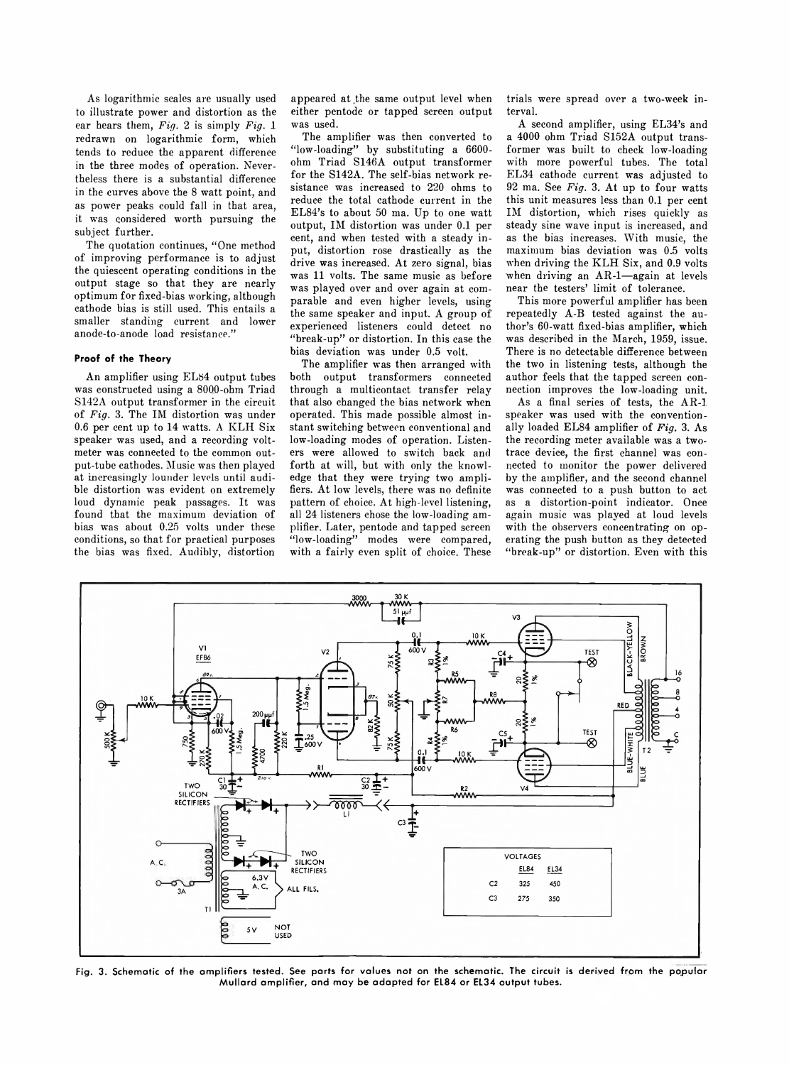As logarithmic scales are usually used to illustrate power and distortion as the ear hears them, *Fig.* 2 is simply *Fig.* 1 redrawn on logarithmic form, which tends to reduce the apparent difference in the three modes of operation. Nevertheless there is a substantial difference in the curves above the 8 watt point, and as power peaks could fall in that area, it was considered worth pursuing the subject further.

The quotation continues, "One method of improving performance is to adjust the quiescent operating conditions in the output stage so that they are nearly optimum for fixed-bias working, although cathode bias is still used. This entails a smaller standing current and lower anode-to-anode load resistance."

## **Proof of the Theory**

An amplifier using ELS4 output tubes was constructed using a 8000-ohm Triad S142A output transformer in the circuit of *Fig.* 3. The IM distortion was under 0.6 per cent up to 14 watts. A KLH Six speaker was used, and a recording voltmeter was connected to the common output-tube cathodes. Music was then played at increasingly lounder levels until audible distortion was evident on extremely loud dynamic peak passages. It was found that the maximum deviation of bias was about 0.25 volts under these conditions, so that for practical purposes the bias was fixed. Audibly, distortion appeared at the same output level when either pentode or tapped screen output was used.

The amplifier was then converted to " $low$ -loading" by substituting a 6600ohm Triad S146A output transformer for the S142A. The self-bias network resistance was increased to 220 ohms to reduce the total cathode current in the EL84's to about 50 ma. Up to one watt output, IM distortion was under 0.1 per cent, and when tested with a steady input, distortion rose drastically as the drive was increased. At zero signal, bias was 11 volts. The same music as before was played over and over again at comparable and even higher levels, using the same speaker and input. A group of experienced listeners could detect no "break-up" or distortion. In this case the bias deviation was under 0.5 volt.

The amplifier was then arranged with both output transformers connected through a multicontact transfer relay that also changed the bias network when operated. This made possible almost instant switching between conventional and low-loading modes of operation. Listeners were allowed to switch back and forth at will, but with only the knowledge that they were trying two amplifiers. At low levels, there was no definite pattern of choice. At high-level listening, all 24 listeners chose the low-loading amplifier. Later, pentode and tapped screen " low-loading" modes were compared, with a fairly even split of choice. These

trials were spread over a two-week interval.

A second amplifier, using EL34's and a 4000 ohm Triad S152A output transformer was built to check low-loading with more powerful tubes. The total EL34 cathode current was adjusted to 92 ma. See *Fig.* 3. At up to four watts this unit measures less than 0.1 per cent IM distortion, which rises quickly as steady sine wave input is increased, and as the bias increases. With music, the maximum bias deviation was 0.5 volts when driving the KLH Six, and 0.9 volts when driving an AR-1-again at levels near the testers' limit of tolerance.

This more powerful amplifier has been repeatedly A-B tested against the author's 60-watt fixed-bias amplifier, which was described in the March, 1959, issue. There is no detectable difference between the two in listening tests, although the author feels that the tapped screen connection improves the low-loading unit.

As a final series of tests, the AR-1. speaker was used with the conventionally loaded EL84 amplifier of *Fig.* 3. As the recording meter available was a twotrace device, the first channel was connected to monitor the power delivered by the amplifier, and the second channel was connected to a push button to act as a distortion-point indicator. Once again music was played at loud levels with the observers concentrating on operating the push button as they detected "break-up" or distortion. Even with this



**Fig. 3. Schematic of the amplifiers tested. See parts for values not on the schematic. The circuit is derived from the popular Mullard amplifier, and may be adapted for EL84 or EL34 output tubes.**